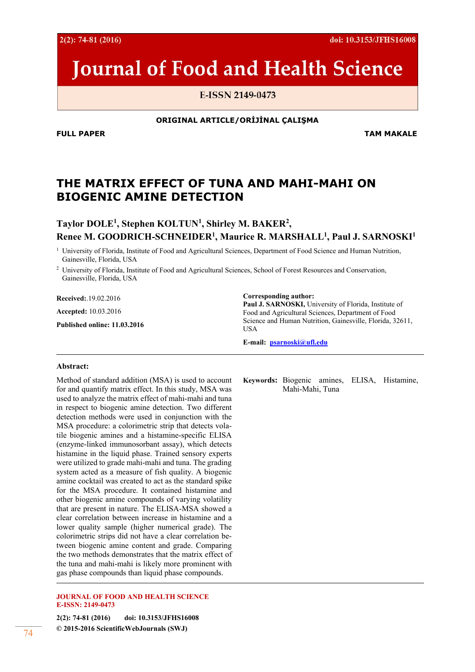**© 2015-2016 ScientificWebJournals (SWJ)** 74

 $2(2): 74-81(2016)$ 

# **Journal of Food and Health Science**

E-ISSN 2149-0473

**ORIGINAL ARTICLE/ORİJİNAL ÇALIŞMA** 

**FULL PAPER TAM MAKALE** 

# **THE MATRIX EFFECT OF TUNA AND MAHI-MAHI ON BIOGENIC AMINE DETECTION**

**Taylor DOLE1 , Stephen KOLTUN1 , Shirley M. BAKER2 , Renee M. GOODRICH-SCHNEIDER1 , Maurice R. MARSHALL1 , Paul J. SARNOSKI1** 

<sup>1</sup> University of Florida, Institute of Food and Agricultural Sciences, Department of Food Science and Human Nutrition, Gainesville, Florida, USA

2 University of Florida, Institute of Food and Agricultural Sciences, School of Forest Resources and Conservation, Gainesville, Florida, USA

**Received:**.19.02.2016

**Accepted:** 10.03.2016

**Published online: 11.03.2016** 

**Corresponding author: Paul J. SARNOSKI,** University of Florida, Institute of Food and Agricultural Sciences, Department of Food Science and Human Nutrition, Gainesville, Florida, 32611, USA

**E-mail: psarnoski@ufl.edu**

#### **Abstract:**

Method of standard addition (MSA) is used to account for and quantify matrix effect. In this study, MSA was used to analyze the matrix effect of mahi-mahi and tuna in respect to biogenic amine detection. Two different detection methods were used in conjunction with the MSA procedure: a colorimetric strip that detects volatile biogenic amines and a histamine-specific ELISA (enzyme-linked immunosorbant assay), which detects histamine in the liquid phase. Trained sensory experts were utilized to grade mahi-mahi and tuna. The grading system acted as a measure of fish quality. A biogenic amine cocktail was created to act as the standard spike for the MSA procedure. It contained histamine and other biogenic amine compounds of varying volatility that are present in nature. The ELISA-MSA showed a clear correlation between increase in histamine and a lower quality sample (higher numerical grade). The colorimetric strips did not have a clear correlation between biogenic amine content and grade. Comparing the two methods demonstrates that the matrix effect of the tuna and mahi-mahi is likely more prominent with gas phase compounds than liquid phase compounds.

**JOURNAL OF FOOD AND HEALTH SCIENCE E-ISSN: 2149-0473** 

**2(2): 74-81 (2016) doi: 10.3153/JFHS16008** 

**Keywords:** Biogenic amines, ELISA, Histamine, Mahi-Mahi, Tuna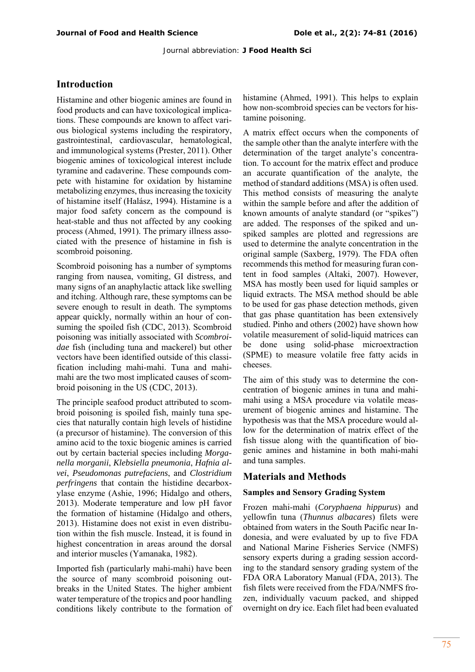## **Introduction**

Histamine and other biogenic amines are found in food products and can have toxicological implications. These compounds are known to affect various biological systems including the respiratory, gastrointestinal, cardiovascular, hematological, and immunological systems (Prester, 2011). Other biogenic amines of toxicological interest include tyramine and cadaverine. These compounds compete with histamine for oxidation by histamine metabolizing enzymes, thus increasing the toxicity of histamine itself (Halász, 1994). Histamine is a major food safety concern as the compound is heat-stable and thus not affected by any cooking process (Ahmed, 1991). The primary illness associated with the presence of histamine in fish is scombroid poisoning.

Scombroid poisoning has a number of symptoms ranging from nausea, vomiting, GI distress, and many signs of an anaphylactic attack like swelling and itching. Although rare, these symptoms can be severe enough to result in death. The symptoms appear quickly, normally within an hour of consuming the spoiled fish (CDC, 2013). Scombroid poisoning was initially associated with *Scombroidae* fish (including tuna and mackerel) but other vectors have been identified outside of this classification including mahi-mahi. Tuna and mahimahi are the two most implicated causes of scombroid poisoning in the US (CDC, 2013).

The principle seafood product attributed to scombroid poisoning is spoiled fish, mainly tuna species that naturally contain high levels of histidine (a precursor of histamine). The conversion of this amino acid to the toxic biogenic amines is carried out by certain bacterial species including *Morganella morganii*, *Klebsiella pneumonia*, *Hafnia alvei*, *Pseudomonas putrefaciens*, and *Clostridium perfringens* that contain the histidine decarboxylase enzyme (Ashie, 1996; Hidalgo and others, 2013). Moderate temperature and low pH favor the formation of histamine (Hidalgo and others, 2013). Histamine does not exist in even distribution within the fish muscle. Instead, it is found in highest concentration in areas around the dorsal and interior muscles (Yamanaka, 1982).

Imported fish (particularly mahi-mahi) have been the source of many scombroid poisoning outbreaks in the United States. The higher ambient water temperature of the tropics and poor handling conditions likely contribute to the formation of histamine (Ahmed, 1991). This helps to explain how non-scombroid species can be vectors for histamine poisoning.

A matrix effect occurs when the components of the sample other than the analyte interfere with the determination of the target analyte's concentration. To account for the matrix effect and produce an accurate quantification of the analyte, the method of standard additions (MSA) is often used. This method consists of measuring the analyte within the sample before and after the addition of known amounts of analyte standard (or "spikes") are added. The responses of the spiked and unspiked samples are plotted and regressions are used to determine the analyte concentration in the original sample (Saxberg, 1979). The FDA often recommends this method for measuring furan content in food samples (Altaki, 2007). However, MSA has mostly been used for liquid samples or liquid extracts. The MSA method should be able to be used for gas phase detection methods, given that gas phase quantitation has been extensively studied. Pinho and others (2002) have shown how volatile measurement of solid-liquid matrices can be done using solid-phase microextraction (SPME) to measure volatile free fatty acids in cheeses.

The aim of this study was to determine the concentration of biogenic amines in tuna and mahimahi using a MSA procedure via volatile measurement of biogenic amines and histamine. The hypothesis was that the MSA procedure would allow for the determination of matrix effect of the fish tissue along with the quantification of biogenic amines and histamine in both mahi-mahi and tuna samples.

### **Materials and Methods**

#### **Samples and Sensory Grading System**

Frozen mahi-mahi (*Coryphaena hippurus*) and yellowfin tuna (*Thunnus albacares*) filets were obtained from waters in the South Pacific near Indonesia, and were evaluated by up to five FDA and National Marine Fisheries Service (NMFS) sensory experts during a grading session according to the standard sensory grading system of the FDA ORA Laboratory Manual (FDA, 2013). The fish filets were received from the FDA/NMFS frozen, individually vacuum packed, and shipped overnight on dry ice. Each filet had been evaluated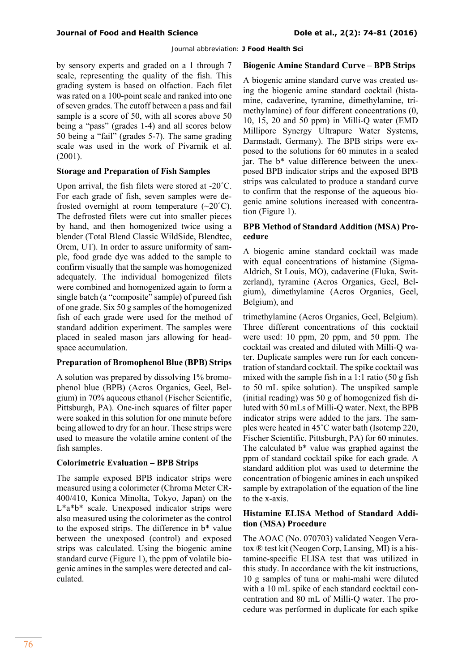by sensory experts and graded on a 1 through 7 scale, representing the quality of the fish. This grading system is based on olfaction. Each filet was rated on a 100-point scale and ranked into one of seven grades. The cutoff between a pass and fail sample is a score of 50, with all scores above 50 being a "pass" (grades 1-4) and all scores below 50 being a "fail" (grades 5-7). The same grading scale was used in the work of Pivarnik et al. (2001).

#### **Storage and Preparation of Fish Samples**

Upon arrival, the fish filets were stored at -20˚C. For each grade of fish, seven samples were defrosted overnight at room temperature  $(\sim 20^{\circ}C)$ . The defrosted filets were cut into smaller pieces by hand, and then homogenized twice using a blender (Total Blend Classic WildSide, Blendtec, Orem, UT). In order to assure uniformity of sample, food grade dye was added to the sample to confirm visually that the sample was homogenized adequately. The individual homogenized filets were combined and homogenized again to form a single batch (a "composite" sample) of pureed fish of one grade. Six 50 g samples of the homogenized fish of each grade were used for the method of standard addition experiment. The samples were placed in sealed mason jars allowing for headspace accumulation.

### **Preparation of Bromophenol Blue (BPB) Strips**

A solution was prepared by dissolving 1% bromophenol blue (BPB) (Acros Organics, Geel, Belgium) in 70% aqueous ethanol (Fischer Scientific, Pittsburgh, PA). One-inch squares of filter paper were soaked in this solution for one minute before being allowed to dry for an hour. These strips were used to measure the volatile amine content of the fish samples.

### **Colorimetric Evaluation – BPB Strips**

The sample exposed BPB indicator strips were measured using a colorimeter (Chroma Meter CR-400/410, Konica Minolta, Tokyo, Japan) on the L\*a\*b\* scale. Unexposed indicator strips were also measured using the colorimeter as the control to the exposed strips. The difference in b\* value between the unexposed (control) and exposed strips was calculated. Using the biogenic amine standard curve (Figure 1), the ppm of volatile biogenic amines in the samples were detected and calculated.

#### **Biogenic Amine Standard Curve – BPB Strips**

A biogenic amine standard curve was created using the biogenic amine standard cocktail (histamine, cadaverine, tyramine, dimethylamine, trimethylamine) of four different concentrations (0, 10, 15, 20 and 50 ppm) in Milli-Q water (EMD Millipore Synergy Ultrapure Water Systems, Darmstadt, Germany). The BPB strips were exposed to the solutions for 60 minutes in a sealed jar. The b\* value difference between the unexposed BPB indicator strips and the exposed BPB strips was calculated to produce a standard curve to confirm that the response of the aqueous biogenic amine solutions increased with concentration (Figure 1).

# **BPB Method of Standard Addition (MSA) Procedure**

A biogenic amine standard cocktail was made with equal concentrations of histamine (Sigma-Aldrich, St Louis, MO), cadaverine (Fluka, Switzerland), tyramine (Acros Organics, Geel, Belgium), dimethylamine (Acros Organics, Geel, Belgium), and

trimethylamine (Acros Organics, Geel, Belgium). Three different concentrations of this cocktail were used: 10 ppm, 20 ppm, and 50 ppm. The cocktail was created and diluted with Milli-Q water. Duplicate samples were run for each concentration of standard cocktail. The spike cocktail was mixed with the sample fish in a 1:1 ratio (50 g fish to 50 mL spike solution). The unspiked sample (initial reading) was 50 g of homogenized fish diluted with 50 mLs of Milli-Q water. Next, the BPB indicator strips were added to the jars. The samples were heated in 45˚C water bath (Isotemp 220, Fischer Scientific, Pittsburgh, PA) for 60 minutes. The calculated b\* value was graphed against the ppm of standard cocktail spike for each grade. A standard addition plot was used to determine the concentration of biogenic amines in each unspiked sample by extrapolation of the equation of the line to the x-axis.

### **Histamine ELISA Method of Standard Addition (MSA) Procedure**

The AOAC (No. 070703) validated Neogen Veratox ® test kit (Neogen Corp, Lansing, MI) is a histamine-specific ELISA test that was utilized in this study. In accordance with the kit instructions, 10 g samples of tuna or mahi-mahi were diluted with a 10 mL spike of each standard cocktail concentration and 80 mL of Milli-Q water. The procedure was performed in duplicate for each spike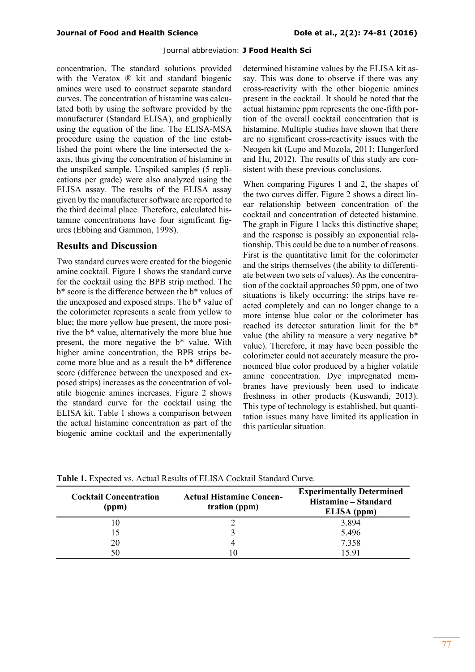concentration. The standard solutions provided with the Veratox ® kit and standard biogenic amines were used to construct separate standard curves. The concentration of histamine was calculated both by using the software provided by the manufacturer (Standard ELISA), and graphically using the equation of the line. The ELISA-MSA procedure using the equation of the line established the point where the line intersected the xaxis, thus giving the concentration of histamine in the unspiked sample. Unspiked samples (5 replications per grade) were also analyzed using the ELISA assay. The results of the ELISA assay given by the manufacturer software are reported to the third decimal place. Therefore, calculated histamine concentrations have four significant figures (Ebbing and Gammon, 1998).

#### **Results and Discussion**

Two standard curves were created for the biogenic amine cocktail. Figure 1 shows the standard curve for the cocktail using the BPB strip method. The b\* score is the difference between the b\* values of the unexposed and exposed strips. The b\* value of the colorimeter represents a scale from yellow to blue; the more yellow hue present, the more positive the b\* value, alternatively the more blue hue present, the more negative the b\* value. With higher amine concentration, the BPB strips become more blue and as a result the b\* difference score (difference between the unexposed and exposed strips) increases as the concentration of volatile biogenic amines increases. Figure 2 shows the standard curve for the cocktail using the ELISA kit. Table 1 shows a comparison between the actual histamine concentration as part of the biogenic amine cocktail and the experimentally

determined histamine values by the ELISA kit assay. This was done to observe if there was any cross-reactivity with the other biogenic amines present in the cocktail. It should be noted that the actual histamine ppm represents the one-fifth portion of the overall cocktail concentration that is histamine. Multiple studies have shown that there are no significant cross-reactivity issues with the Neogen kit (Lupo and Mozola, 2011; Hungerford and Hu, 2012). The results of this study are consistent with these previous conclusions.

When comparing Figures 1 and 2, the shapes of the two curves differ. Figure 2 shows a direct linear relationship between concentration of the cocktail and concentration of detected histamine. The graph in Figure 1 lacks this distinctive shape; and the response is possibly an exponential relationship. This could be due to a number of reasons. First is the quantitative limit for the colorimeter and the strips themselves (the ability to differentiate between two sets of values). As the concentration of the cocktail approaches 50 ppm, one of two situations is likely occurring: the strips have reacted completely and can no longer change to a more intense blue color or the colorimeter has reached its detector saturation limit for the b\* value (the ability to measure a very negative b\* value). Therefore, it may have been possible the colorimeter could not accurately measure the pronounced blue color produced by a higher volatile amine concentration. Dye impregnated membranes have previously been used to indicate freshness in other products (Kuswandi, 2013). This type of technology is established, but quantitation issues many have limited its application in this particular situation.

| <b>Cocktail Concentration</b><br>(ppm) | <b>Actual Histamine Concen-</b><br>tration (ppm) | <b>Experimentally Determined</b><br>Histamine - Standard<br>ELISA (ppm) |
|----------------------------------------|--------------------------------------------------|-------------------------------------------------------------------------|
|                                        |                                                  | 3.894                                                                   |
|                                        |                                                  | 5.496                                                                   |
| 20                                     |                                                  | 7.358                                                                   |
| 50                                     |                                                  | 15.91                                                                   |

**Table 1.** Expected vs. Actual Results of ELISA Cocktail Standard Curve.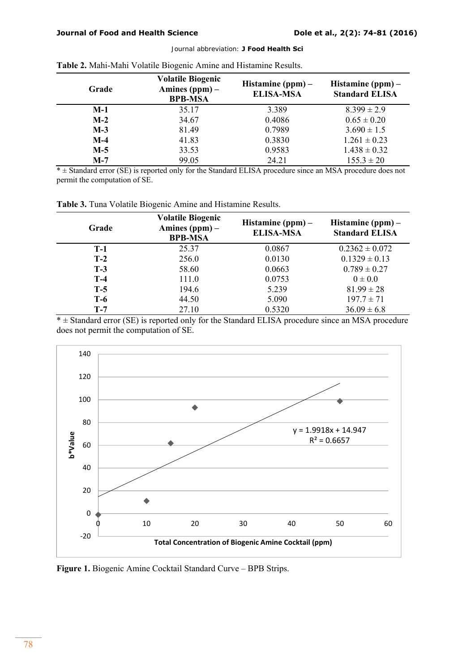|       | ັ                                                              |                                         |                                              |
|-------|----------------------------------------------------------------|-----------------------------------------|----------------------------------------------|
| Grade | <b>Volatile Biogenic</b><br>Amines $(ppm)$ –<br><b>BPB-MSA</b> | Histamine $(ppm)$ –<br><b>ELISA-MSA</b> | Histamine $(ppm)$ –<br><b>Standard ELISA</b> |
| $M-1$ | 35.17                                                          | 3.389                                   | $8.399 \pm 2.9$                              |
| $M-2$ | 34.67                                                          | 0.4086                                  | $0.65 \pm 0.20$                              |
| $M-3$ | 81.49                                                          | 0.7989                                  | $3.690 \pm 1.5$                              |
| $M-4$ | 41.83                                                          | 0.3830                                  | $1.261 \pm 0.23$                             |
| $M-5$ | 33.53                                                          | 0.9583                                  | $1.438 \pm 0.32$                             |
| $M-7$ | 99.05                                                          | 24.21                                   | $155.3 \pm 20$                               |

| Table 2. Mahi-Mahi Volatile Biogenic Amine and Histamine Results. |  |  |  |
|-------------------------------------------------------------------|--|--|--|
|                                                                   |  |  |  |

\* ± Standard error (SE) is reported only for the Standard ELISA procedure since an MSA procedure does not permit the computation of SE.

| Table 3. Tuna Volatile Biogenic Amine and Histamine Results. |  |  |  |
|--------------------------------------------------------------|--|--|--|
|                                                              |  |  |  |

| Grade | <b>Volatile Biogenic</b><br>Amines $(ppm)$ –<br><b>BPB-MSA</b> | Histamine $(ppm)$ –<br><b>ELISA-MSA</b> | Histamine $(ppm)$ –<br><b>Standard ELISA</b> |
|-------|----------------------------------------------------------------|-----------------------------------------|----------------------------------------------|
| $T-1$ | 25.37                                                          | 0.0867                                  | $0.2362 \pm 0.072$                           |
| $T-2$ | 256.0                                                          | 0.0130                                  | $0.1329 \pm 0.13$                            |
| $T-3$ | 58.60                                                          | 0.0663                                  | $0.789 \pm 0.27$                             |
| $T-4$ | 111.0                                                          | 0.0753                                  | $0 \pm 0.0$                                  |
| $T-5$ | 194.6                                                          | 5.239                                   | $81.99 \pm 28$                               |
| T-6   | 44.50                                                          | 5.090                                   | $197.7 \pm 71$                               |
| $T-7$ | 27.10                                                          | 0.5320                                  | $36.09 \pm 6.8$                              |

 $*$   $\pm$  Standard error (SE) is reported only for the Standard ELISA procedure since an MSA procedure does not permit the computation of SE.



**Figure 1.** Biogenic Amine Cocktail Standard Curve – BPB Strips.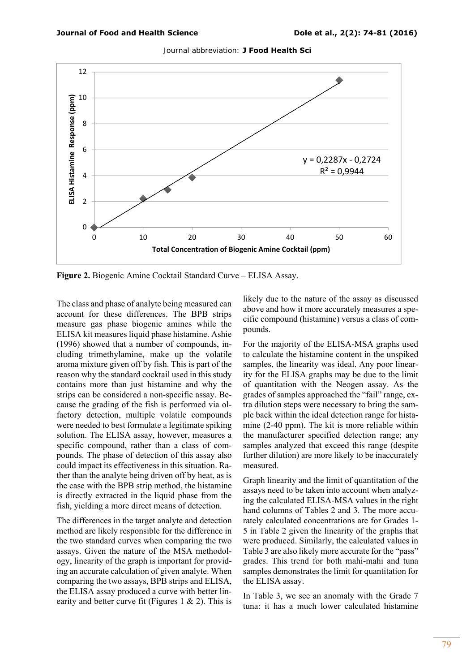

Journal abbreviation: **J Food Health Sci** 

**Figure 2.** Biogenic Amine Cocktail Standard Curve – ELISA Assay.

The class and phase of analyte being measured can account for these differences. The BPB strips measure gas phase biogenic amines while the ELISA kit measures liquid phase histamine. Ashie (1996) showed that a number of compounds, including trimethylamine, make up the volatile aroma mixture given off by fish. This is part of the reason why the standard cocktail used in this study contains more than just histamine and why the strips can be considered a non-specific assay. Because the grading of the fish is performed via olfactory detection, multiple volatile compounds were needed to best formulate a legitimate spiking solution. The ELISA assay, however, measures a specific compound, rather than a class of compounds. The phase of detection of this assay also could impact its effectiveness in this situation. Rather than the analyte being driven off by heat, as is the case with the BPB strip method, the histamine is directly extracted in the liquid phase from the fish, yielding a more direct means of detection.

The differences in the target analyte and detection method are likely responsible for the difference in the two standard curves when comparing the two assays. Given the nature of the MSA methodology, linearity of the graph is important for providing an accurate calculation of given analyte. When comparing the two assays, BPB strips and ELISA, the ELISA assay produced a curve with better linearity and better curve fit (Figures 1  $\&$  2). This is

likely due to the nature of the assay as discussed above and how it more accurately measures a specific compound (histamine) versus a class of compounds.

For the majority of the ELISA-MSA graphs used to calculate the histamine content in the unspiked samples, the linearity was ideal. Any poor linearity for the ELISA graphs may be due to the limit of quantitation with the Neogen assay. As the grades of samples approached the "fail" range, extra dilution steps were necessary to bring the sample back within the ideal detection range for histamine (2-40 ppm). The kit is more reliable within the manufacturer specified detection range; any samples analyzed that exceed this range (despite further dilution) are more likely to be inaccurately measured.

Graph linearity and the limit of quantitation of the assays need to be taken into account when analyzing the calculated ELISA-MSA values in the right hand columns of Tables 2 and 3. The more accurately calculated concentrations are for Grades 1- 5 in Table 2 given the linearity of the graphs that were produced. Similarly, the calculated values in Table 3 are also likely more accurate for the "pass" grades. This trend for both mahi-mahi and tuna samples demonstrates the limit for quantitation for the ELISA assay.

In Table 3, we see an anomaly with the Grade 7 tuna: it has a much lower calculated histamine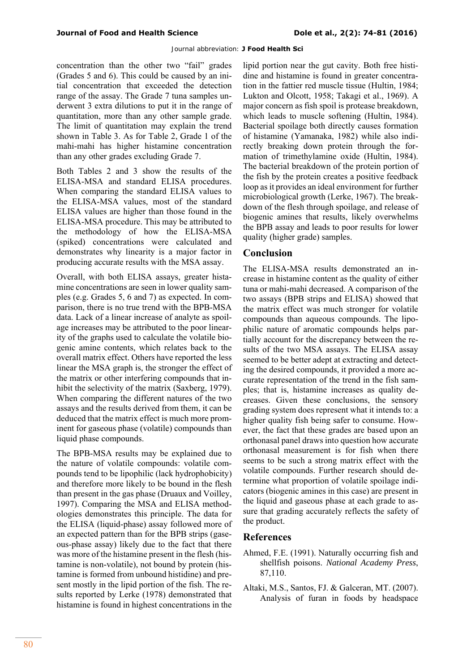concentration than the other two "fail" grades (Grades 5 and 6). This could be caused by an initial concentration that exceeded the detection range of the assay. The Grade 7 tuna samples underwent 3 extra dilutions to put it in the range of quantitation, more than any other sample grade. The limit of quantitation may explain the trend shown in Table 3. As for Table 2, Grade 1 of the mahi-mahi has higher histamine concentration than any other grades excluding Grade 7.

Both Tables 2 and 3 show the results of the ELISA-MSA and standard ELISA procedures. When comparing the standard ELISA values to the ELISA-MSA values, most of the standard ELISA values are higher than those found in the ELISA-MSA procedure. This may be attributed to the methodology of how the ELISA-MSA (spiked) concentrations were calculated and demonstrates why linearity is a major factor in producing accurate results with the MSA assay.

Overall, with both ELISA assays, greater histamine concentrations are seen in lower quality samples (e.g. Grades 5, 6 and 7) as expected. In comparison, there is no true trend with the BPB-MSA data. Lack of a linear increase of analyte as spoilage increases may be attributed to the poor linearity of the graphs used to calculate the volatile biogenic amine contents, which relates back to the overall matrix effect. Others have reported the less linear the MSA graph is, the stronger the effect of the matrix or other interfering compounds that inhibit the selectivity of the matrix (Saxberg, 1979). When comparing the different natures of the two assays and the results derived from them, it can be deduced that the matrix effect is much more prominent for gaseous phase (volatile) compounds than liquid phase compounds.

The BPB-MSA results may be explained due to the nature of volatile compounds: volatile compounds tend to be lipophilic (lack hydrophobicity) and therefore more likely to be bound in the flesh than present in the gas phase (Druaux and Voilley, 1997). Comparing the MSA and ELISA methodologies demonstrates this principle. The data for the ELISA (liquid-phase) assay followed more of an expected pattern than for the BPB strips (gaseous-phase assay) likely due to the fact that there was more of the histamine present in the flesh (histamine is non-volatile), not bound by protein (histamine is formed from unbound histidine) and present mostly in the lipid portion of the fish. The results reported by Lerke (1978) demonstrated that histamine is found in highest concentrations in the

lipid portion near the gut cavity. Both free histidine and histamine is found in greater concentration in the fattier red muscle tissue (Hultin, 1984; Lukton and Olcott, 1958; Takagi et al., 1969). A major concern as fish spoil is protease breakdown, which leads to muscle softening (Hultin, 1984). Bacterial spoilage both directly causes formation of histamine (Yamanaka, 1982) while also indirectly breaking down protein through the formation of trimethylamine oxide (Hultin, 1984). The bacterial breakdown of the protein portion of the fish by the protein creates a positive feedback loop as it provides an ideal environment for further microbiological growth (Lerke, 1967). The breakdown of the flesh through spoilage, and release of biogenic amines that results, likely overwhelms the BPB assay and leads to poor results for lower quality (higher grade) samples.

# **Conclusion**

The ELISA-MSA results demonstrated an increase in histamine content as the quality of either tuna or mahi-mahi decreased. A comparison of the two assays (BPB strips and ELISA) showed that the matrix effect was much stronger for volatile compounds than aqueous compounds. The lipophilic nature of aromatic compounds helps partially account for the discrepancy between the results of the two MSA assays. The ELISA assay seemed to be better adept at extracting and detecting the desired compounds, it provided a more accurate representation of the trend in the fish samples; that is, histamine increases as quality decreases. Given these conclusions, the sensory grading system does represent what it intends to: a higher quality fish being safer to consume. However, the fact that these grades are based upon an orthonasal panel draws into question how accurate orthonasal measurement is for fish when there seems to be such a strong matrix effect with the volatile compounds. Further research should determine what proportion of volatile spoilage indicators (biogenic amines in this case) are present in the liquid and gaseous phase at each grade to assure that grading accurately reflects the safety of the product.

# **References**

- Ahmed, F.E. (1991). Naturally occurring fish and shellfish poisons. *National Academy Press*, 87,110.
- Altaki, M.S., Santos, FJ. & Galceran, MT. (2007). Analysis of furan in foods by headspace